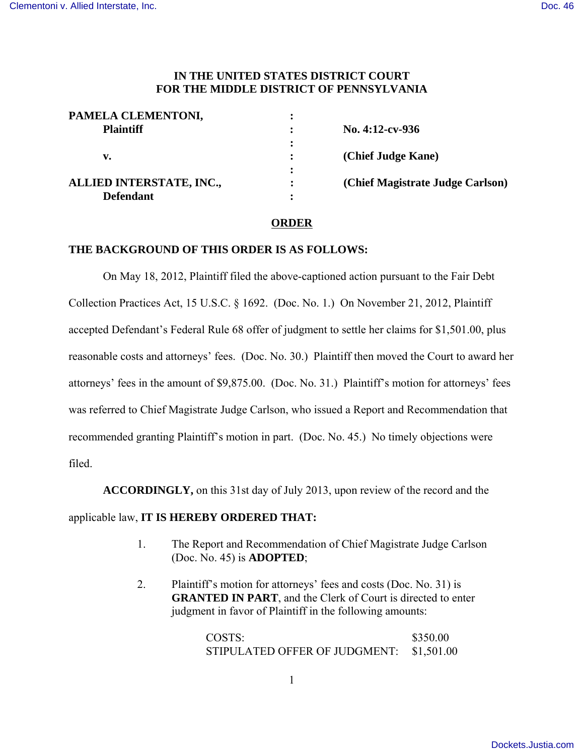## **IN THE UNITED STATES DISTRICT COURT FOR THE MIDDLE DISTRICT OF PENNSYLVANIA**

| PAMELA CLEMENTONI,       |                                  |
|--------------------------|----------------------------------|
| <b>Plaintiff</b>         | No. $4:12$ -cv-936               |
|                          |                                  |
| v.                       | (Chief Judge Kane)               |
|                          |                                  |
| ALLIED INTERSTATE, INC., | (Chief Magistrate Judge Carlson) |
| <b>Defendant</b>         |                                  |

## **ORDER**

## **THE BACKGROUND OF THIS ORDER IS AS FOLLOWS:**

On May 18, 2012, Plaintiff filed the above-captioned action pursuant to the Fair Debt Collection Practices Act, 15 U.S.C. § 1692. (Doc. No. 1.) On November 21, 2012, Plaintiff accepted Defendant's Federal Rule 68 offer of judgment to settle her claims for \$1,501.00, plus reasonable costs and attorneys' fees. (Doc. No. 30.) Plaintiff then moved the Court to award her attorneys' fees in the amount of \$9,875.00. (Doc. No. 31.) Plaintiff's motion for attorneys' fees was referred to Chief Magistrate Judge Carlson, who issued a Report and Recommendation that recommended granting Plaintiff's motion in part. (Doc. No. 45.)No timely objections were filed.

**ACCORDINGLY,** on this 31st day of July 2013, upon review of the record and the

## applicable law, **IT IS HEREBY ORDERED THAT:**

- 1. The Report and Recommendation of Chief Magistrate Judge Carlson (Doc. No. 45) is **ADOPTED**;
- 2. Plaintiff's motion for attorneys' fees and costs (Doc. No. 31) is **GRANTED IN PART**, and the Clerk of Court is directed to enter judgment in favor of Plaintiff in the following amounts:

COSTS: \$350.00 STIPULATED OFFER OF JUDGMENT: \$1,501.00